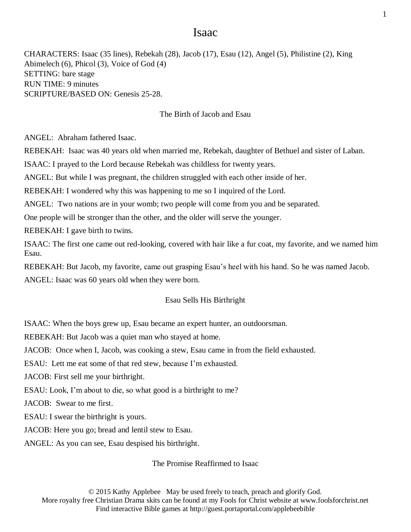# Isaac

CHARACTERS: Isaac (35 lines), Rebekah (28), Jacob (17), Esau (12), Angel (5), Philistine (2), King Abimelech (6), Phicol (3), Voice of God (4) SETTING: bare stage RUN TIME: 9 minutes SCRIPTURE/BASED ON: Genesis 25-28.

## The Birth of Jacob and Esau

ANGEL: Abraham fathered Isaac.

REBEKAH: Isaac was 40 years old when married me, Rebekah, daughter of Bethuel and sister of Laban.

ISAAC: I prayed to the Lord because Rebekah was childless for twenty years.

ANGEL: But while I was pregnant, the children struggled with each other inside of her.

REBEKAH: I wondered why this was happening to me so I inquired of the Lord.

ANGEL: Two nations are in your womb; two people will come from you and be separated.

One people will be stronger than the other, and the older will serve the younger.

REBEKAH: I gave birth to twins.

ISAAC: The first one came out red-looking, covered with hair like a fur coat, my favorite, and we named him Esau.

REBEKAH: But Jacob, my favorite, came out grasping Esau's heel with his hand. So he was named Jacob. ANGEL: Isaac was 60 years old when they were born.

## Esau Sells His Birthright

ISAAC: When the boys grew up, Esau became an expert hunter, an outdoorsman.

REBEKAH: But Jacob was a quiet man who stayed at home.

JACOB: Once when I, Jacob, was cooking a stew, Esau came in from the field exhausted.

ESAU: Lett me eat some of that red stew, because I'm exhausted.

JACOB: First sell me your birthright.

ESAU: Look, I'm about to die, so what good is a birthright to me?

JACOB: Swear to me first.

ESAU: I swear the birthright is yours.

JACOB: Here you go; bread and lentil stew to Esau.

ANGEL: As you can see, Esau despised his birthright.

#### The Promise Reaffirmed to Isaac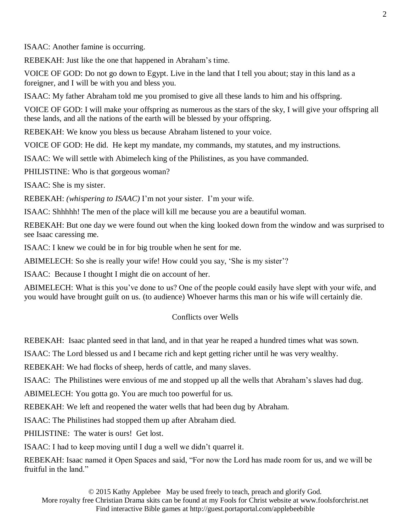ISAAC: Another famine is occurring.

REBEKAH: Just like the one that happened in Abraham's time.

VOICE OF GOD: Do not go down to Egypt. Live in the land that I tell you about; stay in this land as a foreigner, and I will be with you and bless you.

ISAAC: My father Abraham told me you promised to give all these lands to him and his offspring.

VOICE OF GOD: I will make your offspring as numerous as the stars of the sky, I will give your offspring all these lands, and all the nations of the earth will be blessed by your offspring.

REBEKAH: We know you bless us because Abraham listened to your voice.

VOICE OF GOD: He did. He kept my mandate, my commands, my statutes, and my instructions.

ISAAC: We will settle with Abimelech king of the Philistines, as you have commanded.

PHILISTINE: Who is that gorgeous woman?

ISAAC: She is my sister.

REBEKAH: *(whispering to ISAAC)* I'm not your sister. I'm your wife.

ISAAC: Shhhhh! The men of the place will kill me because you are a beautiful woman.

REBEKAH: But one day we were found out when the king looked down from the window and was surprised to see Isaac caressing me.

ISAAC: I knew we could be in for big trouble when he sent for me.

ABIMELECH: So she is really your wife! How could you say, 'She is my sister'?

ISAAC: Because I thought I might die on account of her.

ABIMELECH: What is this you've done to us? One of the people could easily have slept with your wife, and you would have brought guilt on us. (to audience) Whoever harms this man or his wife will certainly die.

## Conflicts over Wells

REBEKAH: Isaac planted seed in that land, and in that year he reaped a hundred times what was sown.

ISAAC: The Lord blessed us and I became rich and kept getting richer until he was very wealthy.

REBEKAH: We had flocks of sheep, herds of cattle, and many slaves.

ISAAC: The Philistines were envious of me and stopped up all the wells that Abraham's slaves had dug.

ABIMELECH: You gotta go. You are much too powerful for us.

REBEKAH: We left and reopened the water wells that had been dug by Abraham.

ISAAC: The Philistines had stopped them up after Abraham died.

PHILISTINE: The water is ours! Get lost.

ISAAC: I had to keep moving until I dug a well we didn't quarrel it.

REBEKAH: Isaac named it Open Spaces and said, "For now the Lord has made room for us, and we will be fruitful in the land."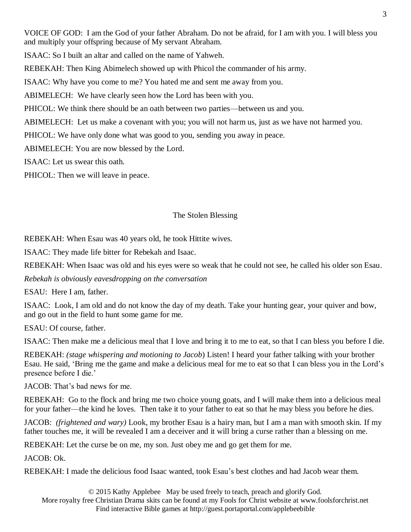VOICE OF GOD: I am the God of your father Abraham. Do not be afraid, for I am with you. I will bless you and multiply your offspring because of My servant Abraham.

ISAAC: So I built an altar and called on the name of Yahweh.

REBEKAH: Then King Abimelech showed up with Phicol the commander of his army.

ISAAC: Why have you come to me? You hated me and sent me away from you.

ABIMELECH: We have clearly seen how the Lord has been with you.

PHICOL: We think there should be an oath between two parties—between us and you.

ABIMELECH: Let us make a covenant with you; you will not harm us, just as we have not harmed you.

PHICOL: We have only done what was good to you, sending you away in peace.

ABIMELECH: You are now blessed by the Lord.

ISAAC: Let us swear this oath.

PHICOL: Then we will leave in peace.

## The Stolen Blessing

REBEKAH: When Esau was 40 years old, he took Hittite wives.

ISAAC: They made life bitter for Rebekah and Isaac.

REBEKAH: When Isaac was old and his eyes were so weak that he could not see, he called his older son Esau.

*Rebekah is obviously eavesdropping on the conversation*

ESAU: Here I am, father.

ISAAC: Look, I am old and do not know the day of my death. Take your hunting gear, your quiver and bow, and go out in the field to hunt some game for me.

ESAU: Of course, father.

ISAAC: Then make me a delicious meal that I love and bring it to me to eat, so that I can bless you before I die.

REBEKAH: *(stage whispering and motioning to Jacob*) Listen! I heard your father talking with your brother Esau. He said, 'Bring me the game and make a delicious meal for me to eat so that I can bless you in the Lord's presence before I die.'

JACOB: That's bad news for me.

REBEKAH: Go to the flock and bring me two choice young goats, and I will make them into a delicious meal for your father—the kind he loves. Then take it to your father to eat so that he may bless you before he dies.

JACOB: *(frightened and wary)* Look, my brother Esau is a hairy man, but I am a man with smooth skin. If my father touches me, it will be revealed I am a deceiver and it will bring a curse rather than a blessing on me.

REBEKAH: Let the curse be on me, my son. Just obey me and go get them for me.

JACOB: Ok.

REBEKAH: I made the delicious food Isaac wanted, took Esau's best clothes and had Jacob wear them.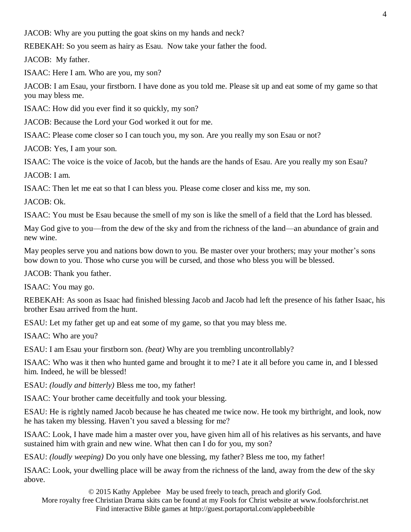JACOB: Why are you putting the goat skins on my hands and neck?

REBEKAH: So you seem as hairy as Esau. Now take your father the food.

JACOB: My father.

ISAAC: Here I am. Who are you, my son?

JACOB: I am Esau, your firstborn. I have done as you told me. Please sit up and eat some of my game so that you may bless me.

ISAAC: How did you ever find it so quickly, my son?

JACOB: Because the Lord your God worked it out for me.

ISAAC: Please come closer so I can touch you, my son. Are you really my son Esau or not?

JACOB: Yes, I am your son.

ISAAC: The voice is the voice of Jacob, but the hands are the hands of Esau. Are you really my son Esau?

JACOB: I am.

ISAAC: Then let me eat so that I can bless you. Please come closer and kiss me, my son.

JACOB: Ok.

ISAAC: You must be Esau because the smell of my son is like the smell of a field that the Lord has blessed.

May God give to you—from the dew of the sky and from the richness of the land—an abundance of grain and new wine.

May peoples serve you and nations bow down to you. Be master over your brothers; may your mother's sons bow down to you. Those who curse you will be cursed, and those who bless you will be blessed.

JACOB: Thank you father.

ISAAC: You may go.

REBEKAH: As soon as Isaac had finished blessing Jacob and Jacob had left the presence of his father Isaac, his brother Esau arrived from the hunt.

ESAU: Let my father get up and eat some of my game, so that you may bless me.

ISAAC: Who are you?

ESAU: I am Esau your firstborn son. *(beat)* Why are you trembling uncontrollably?

ISAAC: Who was it then who hunted game and brought it to me? I ate it all before you came in, and I blessed him. Indeed, he will be blessed!

ESAU: *(loudly and bitterly)* Bless me too, my father!

ISAAC: Your brother came deceitfully and took your blessing.

ESAU: He is rightly named Jacob because he has cheated me twice now. He took my birthright, and look, now he has taken my blessing. Haven't you saved a blessing for me?

ISAAC: Look, I have made him a master over you, have given him all of his relatives as his servants, and have sustained him with grain and new wine. What then can I do for you, my son?

ESAU: *(loudly weeping)* Do you only have one blessing, my father? Bless me too, my father!

ISAAC: Look, your dwelling place will be away from the richness of the land, away from the dew of the sky above.